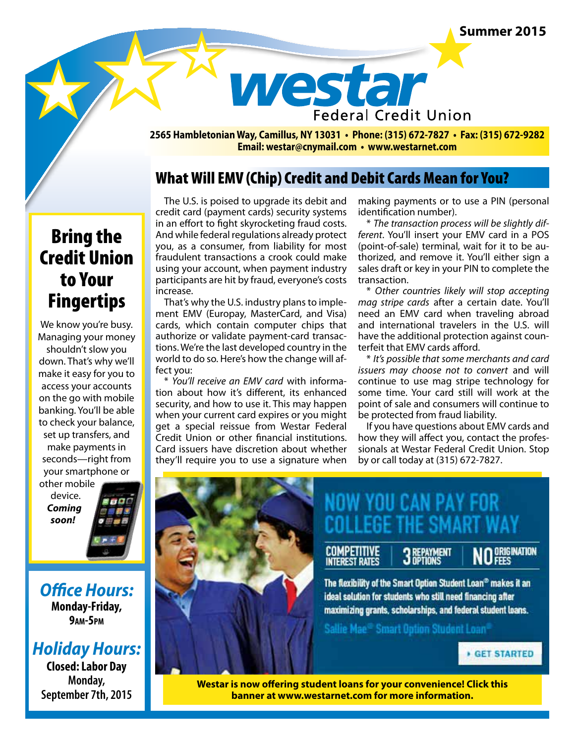#### **Summer 2015**



**2565 Hambletonian Way, Camillus, NY 13031 • Phone: (315) 672-7827 • Fax: (315) 672-9282 Email: westar@cnymail.com • www.westarnet.com**

## What Will EMV (Chip) Credit and Debit Cards Mean for You?

# Bring the Credit Union to Your Fingertips

We know you're busy. Managing your money shouldn't slow you down. That's why we'll make it easy for you to access your accounts on the go with mobile banking. You'll be able to check your balance, set up transfers, and make payments in seconds—right from your smartphone or other mobile

device. *Coming soon!*

*Office Hours:*  **Monday-Friday, 9am-5pm**

## *Holiday Hours:*

**Closed: Labor Day Monday, September 7th, 2015**

The U.S. is poised to upgrade its debit and credit card (payment cards) security systems in an effort to fight skyrocketing fraud costs. And while federal regulations already protect you, as a consumer, from liability for most fraudulent transactions a crook could make using your account, when payment industry participants are hit by fraud, everyone's costs increase.

That's why the U.S. industry plans to implement EMV (Europay, MasterCard, and Visa) cards, which contain computer chips that authorize or validate payment-card transactions. We're the last developed country in the world to do so. Here's how the change will affect you:

\* *You'll receive an EMV card* with information about how it's different, its enhanced security, and how to use it. This may happen when your current card expires or you might get a special reissue from Westar Federal Credit Union or other financial institutions. Card issuers have discretion about whether they'll require you to use a signature when making payments or to use a PIN (personal identification number).

\* *The transaction process will be slightly different*. You'll insert your EMV card in a POS (point-of-sale) terminal, wait for it to be authorized, and remove it. You'll either sign a sales draft or key in your PIN to complete the transaction.

\* *Other countries likely will stop accepting mag stripe cards* after a certain date. You'll need an EMV card when traveling abroad and international travelers in the U.S. will have the additional protection against counterfeit that EMV cards afford.

\* *It's possible that some merchants and card issuers may choose not to convert* and will continue to use mag stripe technology for some time. Your card still will work at the point of sale and consumers will continue to be protected from fraud liability.

If you have questions about EMV cards and how they will affect you, contact the professionals at Westar Federal Credit Union. Stop by or call today at (315) 672-7827.